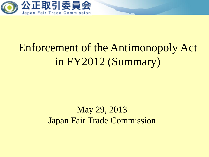

# Enforcement of the Antimonopoly Act in FY2012 (Summary)

# May 29, 2013 Japan Fair Trade Commission

1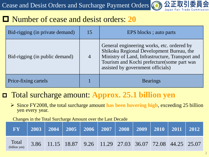Cease and Desist Orders and Surcharge Payment Orders



## Number of cease and desist orders: **20**

| Bid-rigging (in private demand) | 15             | EPS blocks; auto parts                                                                                                                                                                                                        |
|---------------------------------|----------------|-------------------------------------------------------------------------------------------------------------------------------------------------------------------------------------------------------------------------------|
| Bid-rigging (in public demand)  | $\overline{4}$ | General engineering works, etc. ordered by<br>Shikoku Regional Development Bureau, the<br>Ministry of Land, Infrastructure, Transport and<br>Tourism and Kochi prefecture (some part was<br>assisted by government officials) |
| Price-fixing cartels            |                | <b>Bearings</b>                                                                                                                                                                                                               |

## Total surcharge amount: **Approx. 25.1 billion yen**

 Since FY2008, the total surcharge amount **has been hovering high**, exceeding 25 billion yen every year.

Changes in the Total Surcharge Amount over the Last Decade

| <b>FY</b>              |                                                           |  |  |  |  |
|------------------------|-----------------------------------------------------------|--|--|--|--|
| Total<br>(billion yen) | 3.86 11.15 18.87 9.26 11.29 27.03 36.07 72.08 44.25 25.07 |  |  |  |  |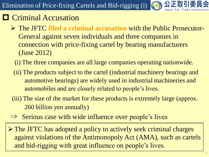

# **O** Criminal Accusation

- The JFTC **filed a criminal accusation** with the Public Prosecutor-General against seven individuals and three companies in connection with price-fixing cartel by bearing manufacturers (June 2012)
	- (i) The three companies are all large companies operating nationwide.
	- (ii) The products subject to the cartel (industrial machinery bearings and automotive bearings) are widely used in industrial machineries and automobiles and are closely related to people's lives.
- (iii) The size of the market for these products is extremely large (approx. 260 billion yen annually)
- $\Rightarrow$  Serious case with wide influence over people's lives
- The JFTC has adopted a policy to actively seek criminal charges against violations of the Antimonopoly Act (AMA), such as cartels and bid-rigging with great influence on people's lives.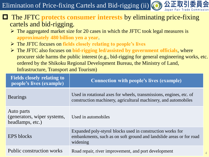Elimination of Price-fixing Cartels and Bid-rigging (ii) (O)

### The JFTC **protects consumer interests** by eliminating price-fixing cartels and bid-rigging.

- $\triangleright$  The aggregated market size for 20 cases in which the JFTC took legal measures is **approximately 480 billion yen a year**.
- The JFTC focuses on **fields closely relating to people's lives**
- The JFTC also focuses on **bid-rigging led/assisted by government officials**, where procurer side harms the public interest (e.g., bid-rigging for general engineering works, etc. ordered by the Shikoku Regional Development Bureau, the Ministry of Land, Infrastructure, Transport and Tourism)

| <b>Fields closely relating to</b><br>people's lives (example) | <b>Connection with people's lives (example)</b>                                                                                               |
|---------------------------------------------------------------|-----------------------------------------------------------------------------------------------------------------------------------------------|
| <b>Bearings</b>                                               | Used in rotational axes for wheels, transmissions, engines, etc. of<br>construction machinery, agricultural machinery, and automobiles        |
| Auto parts<br>(generators, wiper systems,<br>headlamps, etc.) | Used in automobiles                                                                                                                           |
| <b>EPS</b> blocks                                             | Expanded poly-styrol blocks used in construction works for<br>embankments, such as on soft ground and landslide areas or for road<br>widening |
| Public construction works                                     | Road repair, river improvement, and port development                                                                                          |

4

)公正取引委員会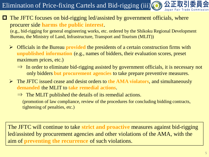公正取引 Elimination of Price-fixing Cartels and Bid-rigging (iii) (O)

#### The JFTC focuses on bid-rigging led/assisted by government officials, where procurer side **harms the public interest**.

(e.g., bid-rigging for general engineering works, etc. ordered by the Shikoku Regional Development Bureau, the Ministry of Land, Infrastructure, Transport and Tourism (MLIT))

- Officials in the Bureau **provided** the presidents of a certain construction firms with **unpublished information** (e.g., names of bidders, their evaluation scores, preset maximum prices, etc.)
	- $\Rightarrow$  In order to eliminate bid-rigging assisted by government officials, it is necessary not only bidders **but procurement agencies** to take prepare preventive measures.
- The JFTC issued cease and desist orders to **the AMA violators**, and simultaneously **demanded** the MLIT to **take remedial actions**.
	- $\Rightarrow$  The MLIT published the details of its remedial actions. (promotion of law compliance, review of the procedures for concluding bidding contracts, tightening of penalties, etc.)

The JFTC will continue to take **strict and proactive** measures against bid-rigging led/assisted by procurement agencies and other violations of the AMA, with the aim of **preventing the recurrence** of such violations.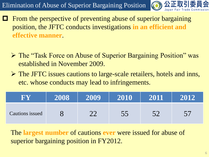

- From the perspective of preventing abuse of superior bargaining position, the JFTC conducts investigations **in an efficient and effective manner**.
	- The "Task Force on Abuse of Superior Bargaining Position" was established in November 2009.
	- The JFTC issues cautions to large-scale retailers, hotels and inns, etc. whose conducts may lead to infringements.

| R V             | 2008 | 2009 | 2010 | 2011 | 2012 |
|-----------------|------|------|------|------|------|
| Cautions issued |      |      | シン   |      |      |

The **largest number** of cautions **ever** were issued for abuse of superior bargaining position in FY2012.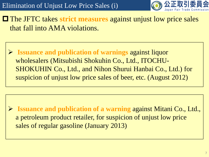

 The JFTC takes **strict measures** against unjust low price sales that fall into AMA violations.

 **Issuance and publication of warnings** against liquor wholesalers (Mitsubishi Shokuhin Co., Ltd., ITOCHU-SHOKUHIN Co., Ltd., and Nihon Shurui Hanbai Co., Ltd.) for suspicion of unjust low price sales of beer, etc. (August 2012)

 **Issuance and publication of a warning** against Mitani Co., Ltd., a petroleum product retailer, for suspicion of unjust low price sales of regular gasoline (January 2013)